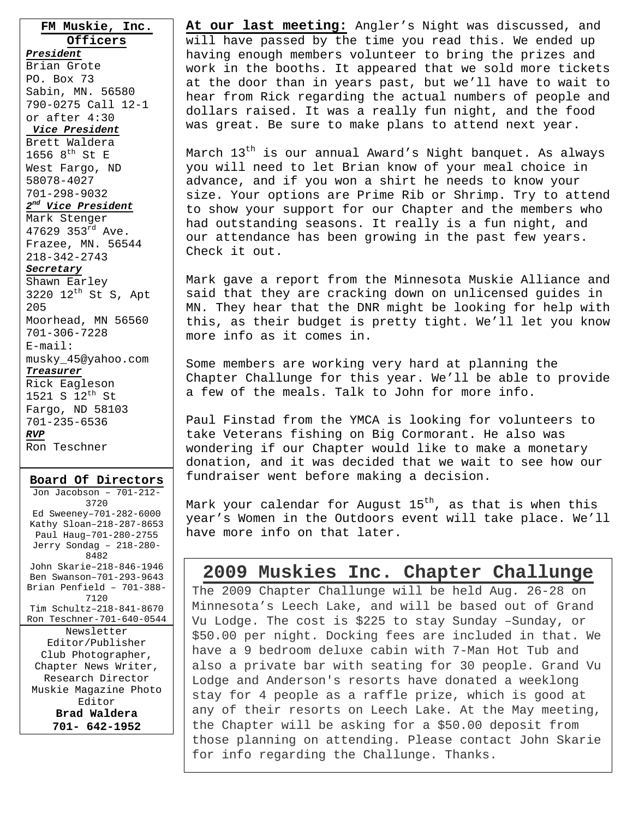**FM Muskie, Inc. Officers** *President* Brian Grote PO. Box 73 Sabin, MN. 56580 790-0275 Call 12-1 or after 4:30 *Vice President* Brett Waldera 1656  $8^{th}$  St E West Fargo, ND 58078-4027 701-298-9032 *2nd Vice President* Mark Stenger 47629 353rd Ave. Frazee, MN. 56544 218-342-2743 *Secretary* Shawn Earley 3220  $12^{th}$  St S, Apt 205 Moorhead, MN 56560 701-306-7228 E-mail: musky\_45@yahoo.com *Treasurer* Rick Eagleson

1521 S  $12^{th}$  St Fargo, ND 58103 701-235-6536 *RVP* Ron Teschner

**Board Of Directors** Jon Jacobson – 701-212- 3720 Ed Sweeney–701-282-6000 Kathy Sloan–218-287-8653 Paul Haug–701-280-2755 Jerry Sondag – 218-280- 8482 John Skarie–218-846-1946 Ben Swanson–701-293-9643 Brian Penfield – 701-388- 7120 Tim Schultz–218-841-8670 Ron Teschner-701-640-0544 Newsletter Editor/Publisher Club Photographer, Chapter News Writer, Research Director Muskie Magazine Photo Editor **Brad Waldera 701- 642-1952** 

**At our last meeting:** Angler's Night was discussed, and will have passed by the time you read this. We ended up having enough members volunteer to bring the prizes and work in the booths. It appeared that we sold more tickets at the door than in years past, but we'll have to wait to hear from Rick regarding the actual numbers of people and dollars raised. It was a really fun night, and the food was great. Be sure to make plans to attend next year.

March  $13^{th}$  is our annual Award's Night banquet. As always you will need to let Brian know of your meal choice in advance, and if you won a shirt he needs to know your size. Your options are Prime Rib or Shrimp. Try to attend to show your support for our Chapter and the members who had outstanding seasons. It really is a fun night, and our attendance has been growing in the past few years. Check it out.

Mark gave a report from the Minnesota Muskie Alliance and said that they are cracking down on unlicensed guides in MN. They hear that the DNR might be looking for help with this, as their budget is pretty tight. We'll let you know more info as it comes in.

Some members are working very hard at planning the Chapter Challunge for this year. We'll be able to provide a few of the meals. Talk to John for more info.

Paul Finstad from the YMCA is looking for volunteers to take Veterans fishing on Big Cormorant. He also was wondering if our Chapter would like to make a monetary donation, and it was decided that we wait to see how our fundraiser went before making a decision.

Mark your calendar for August  $15<sup>th</sup>$ , as that is when this year's Women in the Outdoors event will take place. We'll have more info on that later.

#### **2009 Muskies Inc. Chapter Challunge**

The 2009 Chapter Challunge will be held Aug. 26-28 on Minnesota's Leech Lake, and will be based out of Grand Vu Lodge. The cost is \$225 to stay Sunday –Sunday, or \$50.00 per night. Docking fees are included in that. We have a 9 bedroom deluxe cabin with 7-Man Hot Tub and also a private bar with seating for 30 people. Grand Vu Lodge and Anderson's resorts have donated a weeklong stay for 4 people as a raffle prize, which is good at any of their resorts on Leech Lake. At the May meeting, the Chapter will be asking for a \$50.00 deposit from those planning on attending. Please contact John Skarie for info regarding the Challunge. Thanks.